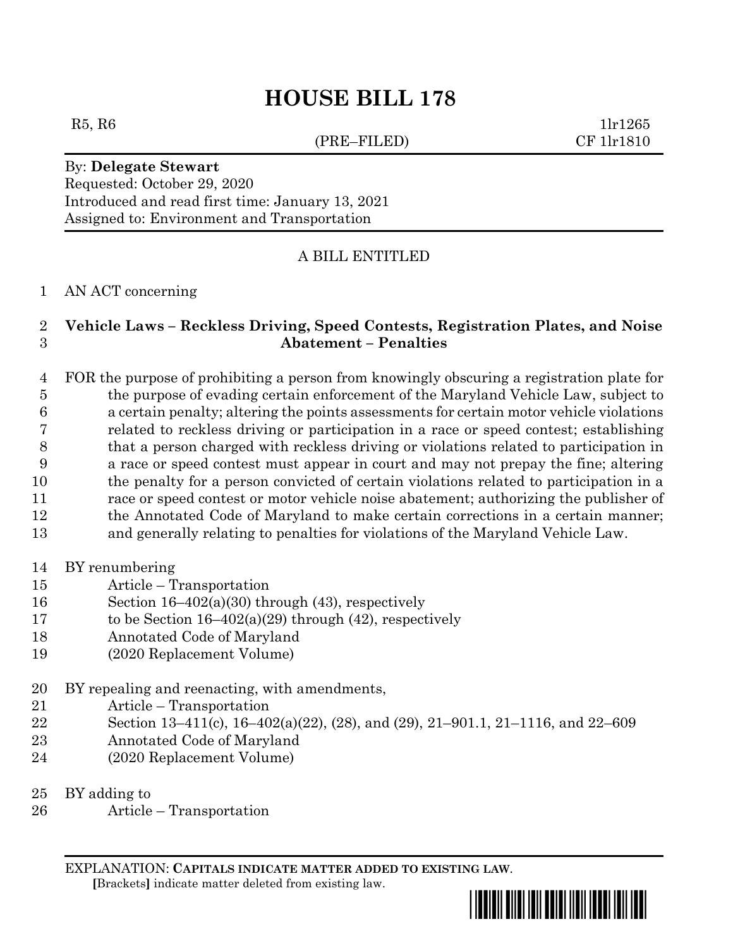# **HOUSE BILL 178**

(PRE–FILED) CF 1lr1810

 $R5, R6$  1lr1265

By: **Delegate Stewart** Requested: October 29, 2020 Introduced and read first time: January 13, 2021 Assigned to: Environment and Transportation

## A BILL ENTITLED

### AN ACT concerning

## **Vehicle Laws – Reckless Driving, Speed Contests, Registration Plates, and Noise Abatement – Penalties**

 FOR the purpose of prohibiting a person from knowingly obscuring a registration plate for the purpose of evading certain enforcement of the Maryland Vehicle Law, subject to a certain penalty; altering the points assessments for certain motor vehicle violations related to reckless driving or participation in a race or speed contest; establishing that a person charged with reckless driving or violations related to participation in a race or speed contest must appear in court and may not prepay the fine; altering the penalty for a person convicted of certain violations related to participation in a race or speed contest or motor vehicle noise abatement; authorizing the publisher of the Annotated Code of Maryland to make certain corrections in a certain manner; and generally relating to penalties for violations of the Maryland Vehicle Law.

- BY renumbering
- Article Transportation
- Section 16–402(a)(30) through (43), respectively
- 17 to be Section  $16-402(a)(29)$  through (42), respectively
- Annotated Code of Maryland
- (2020 Replacement Volume)
- BY repealing and reenacting, with amendments,
- Article Transportation
- Section 13–411(c), 16–402(a)(22), (28), and (29), 21–901.1, 21–1116, and 22–609
- Annotated Code of Maryland
- (2020 Replacement Volume)
- BY adding to
- Article Transportation

EXPLANATION: **CAPITALS INDICATE MATTER ADDED TO EXISTING LAW**.  **[**Brackets**]** indicate matter deleted from existing law.

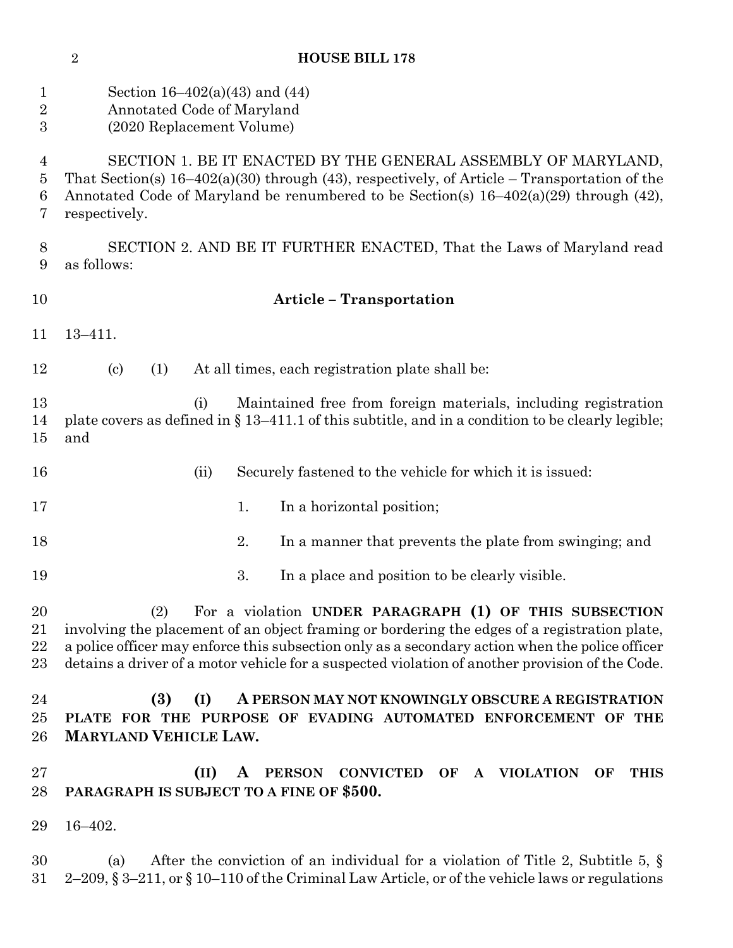|                                    | $\overline{2}$                                                                                                                                                                                                                                                              |                                                                                                                                                                                                                                                                                                           |      |    | <b>HOUSE BILL 178</b>                                                              |                  |  |                    |  |                  |    |             |
|------------------------------------|-----------------------------------------------------------------------------------------------------------------------------------------------------------------------------------------------------------------------------------------------------------------------------|-----------------------------------------------------------------------------------------------------------------------------------------------------------------------------------------------------------------------------------------------------------------------------------------------------------|------|----|------------------------------------------------------------------------------------|------------------|--|--------------------|--|------------------|----|-------------|
| $\mathbf 1$<br>$\overline{2}$<br>3 | Section $16-402(a)(43)$ and $(44)$<br>Annotated Code of Maryland<br>(2020 Replacement Volume)                                                                                                                                                                               |                                                                                                                                                                                                                                                                                                           |      |    |                                                                                    |                  |  |                    |  |                  |    |             |
| 4<br>5<br>6<br>7                   | SECTION 1. BE IT ENACTED BY THE GENERAL ASSEMBLY OF MARYLAND,<br>That Section(s) $16-402(a)(30)$ through (43), respectively, of Article – Transportation of the<br>Annotated Code of Maryland be renumbered to be Section(s) $16-402(a)(29)$ through (42),<br>respectively. |                                                                                                                                                                                                                                                                                                           |      |    |                                                                                    |                  |  |                    |  |                  |    |             |
| 8<br>9                             | SECTION 2. AND BE IT FURTHER ENACTED, That the Laws of Maryland read<br>as follows:                                                                                                                                                                                         |                                                                                                                                                                                                                                                                                                           |      |    |                                                                                    |                  |  |                    |  |                  |    |             |
| 10                                 | <b>Article - Transportation</b>                                                                                                                                                                                                                                             |                                                                                                                                                                                                                                                                                                           |      |    |                                                                                    |                  |  |                    |  |                  |    |             |
| 11                                 | $13 - 411.$                                                                                                                                                                                                                                                                 |                                                                                                                                                                                                                                                                                                           |      |    |                                                                                    |                  |  |                    |  |                  |    |             |
| 12                                 |                                                                                                                                                                                                                                                                             | $\left( \text{c} \right)$<br>(1)                                                                                                                                                                                                                                                                          |      |    | At all times, each registration plate shall be:                                    |                  |  |                    |  |                  |    |             |
| 13<br>14<br>15                     | and                                                                                                                                                                                                                                                                         | plate covers as defined in § 13-411.1 of this subtitle, and in a condition to be clearly legible;                                                                                                                                                                                                         | (i)  |    | Maintained free from foreign materials, including registration                     |                  |  |                    |  |                  |    |             |
| 16                                 |                                                                                                                                                                                                                                                                             |                                                                                                                                                                                                                                                                                                           | (ii) |    | Securely fastened to the vehicle for which it is issued:                           |                  |  |                    |  |                  |    |             |
| 17                                 |                                                                                                                                                                                                                                                                             |                                                                                                                                                                                                                                                                                                           |      | 1. | In a horizontal position;                                                          |                  |  |                    |  |                  |    |             |
| 18                                 |                                                                                                                                                                                                                                                                             |                                                                                                                                                                                                                                                                                                           |      | 2. | In a manner that prevents the plate from swinging; and                             |                  |  |                    |  |                  |    |             |
| 19                                 |                                                                                                                                                                                                                                                                             |                                                                                                                                                                                                                                                                                                           |      | 3. | In a place and position to be clearly visible.                                     |                  |  |                    |  |                  |    |             |
| 20<br>21<br>22<br>23               |                                                                                                                                                                                                                                                                             | (2)<br>involving the placement of an object framing or bordering the edges of a registration plate,<br>a police officer may enforce this subsection only as a secondary action when the police officer<br>detains a driver of a motor vehicle for a suspected violation of another provision of the Code. |      |    | For a violation UNDER PARAGRAPH (1) OF THIS SUBSECTION                             |                  |  |                    |  |                  |    |             |
| 24<br>25<br>26                     |                                                                                                                                                                                                                                                                             | (3)<br>PLATE FOR THE PURPOSE OF EVADING AUTOMATED ENFORCEMENT OF THE<br><b>MARYLAND VEHICLE LAW.</b>                                                                                                                                                                                                      | (I)  |    | A PERSON MAY NOT KNOWINGLY OBSCURE A REGISTRATION                                  |                  |  |                    |  |                  |    |             |
| 27<br>28                           |                                                                                                                                                                                                                                                                             | PARAGRAPH IS SUBJECT TO A FINE OF \$500.                                                                                                                                                                                                                                                                  | (II) | A  | <b>PERSON</b>                                                                      | <b>CONVICTED</b> |  | OF<br>$\mathbf{A}$ |  | <b>VIOLATION</b> | OF | <b>THIS</b> |
| 29                                 | $16 - 402.$                                                                                                                                                                                                                                                                 |                                                                                                                                                                                                                                                                                                           |      |    |                                                                                    |                  |  |                    |  |                  |    |             |
| 30<br>31                           |                                                                                                                                                                                                                                                                             | (a)<br>2-209, $\S 3-211$ , or $\S 10-110$ of the Criminal Law Article, or of the vehicle laws or regulations                                                                                                                                                                                              |      |    | After the conviction of an individual for a violation of Title 2, Subtitle 5, $\S$ |                  |  |                    |  |                  |    |             |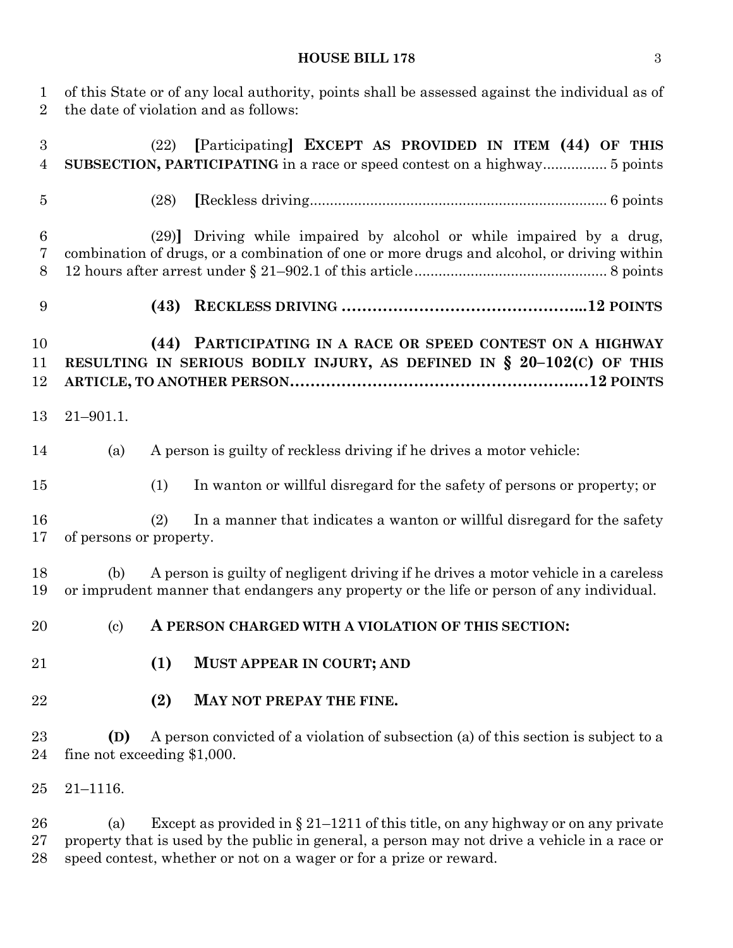#### **HOUSE BILL 178** 3

 of this State or of any local authority, points shall be assessed against the individual as of the date of violation and as follows: (22) **[**Participating**] EXCEPT AS PROVIDED IN ITEM (44) OF THIS SUBSECTION, PARTICIPATING** in a race or speed contest on a highway................ 5 points (28) **[**Reckless driving.......................................................................... 6 points (29)**]** Driving while impaired by alcohol or while impaired by a drug, combination of drugs, or a combination of one or more drugs and alcohol, or driving within 12 hours after arrest under § 21–902.1 of this article................................................ 8 points **(43) RECKLESS DRIVING ………………………………………...12 POINTS (44) PARTICIPATING IN A RACE OR SPEED CONTEST ON A HIGHWAY RESULTING IN SERIOUS BODILY INJURY, AS DEFINED IN § 20–102(C) OF THIS ARTICLE, TO ANOTHER PERSON……………………………………………….…12 POINTS** 21–901.1. (a) A person is guilty of reckless driving if he drives a motor vehicle: (1) In wanton or willful disregard for the safety of persons or property; or (2) In a manner that indicates a wanton or willful disregard for the safety of persons or property. (b) A person is guilty of negligent driving if he drives a motor vehicle in a careless or imprudent manner that endangers any property or the life or person of any individual. (c) **A PERSON CHARGED WITH A VIOLATION OF THIS SECTION: (1) MUST APPEAR IN COURT; AND (2) MAY NOT PREPAY THE FINE. (D)** A person convicted of a violation of subsection (a) of this section is subject to a fine not exceeding \$1,000. 21–1116.

26 (a) Except as provided in  $\S 21-1211$  of this title, on any highway or on any private property that is used by the public in general, a person may not drive a vehicle in a race or speed contest, whether or not on a wager or for a prize or reward.